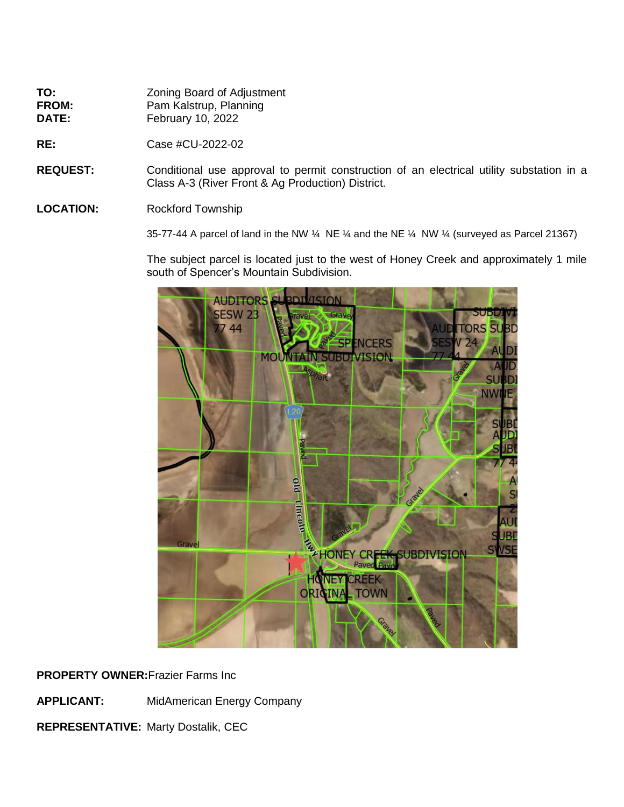| TO:          | <b>Zoning Board of Adjustment</b> |
|--------------|-----------------------------------|
| <b>FROM:</b> | Pam Kalstrup, Planning            |
| <b>DATE:</b> | <b>February 10, 2022</b>          |

**RE:** Case #CU-2022-02

**REQUEST:** Conditional use approval to permit construction of an electrical utility substation in a Class A-3 (River Front & Ag Production) District.

## LOCATION: Rockford Township

35-77-44 A parcel of land in the NW  $\frac{1}{4}$  NE  $\frac{1}{4}$  and the NE  $\frac{1}{4}$  NW  $\frac{1}{4}$  (surveyed as Parcel 21367)

The subject parcel is located just to the west of Honey Creek and approximately 1 mile south of Spencer's Mountain Subdivision.



**PROPERTY OWNER:**Frazier Farms Inc

**APPLICANT:** MidAmerican Energy Company

**REPRESENTATIVE:** Marty Dostalik, CEC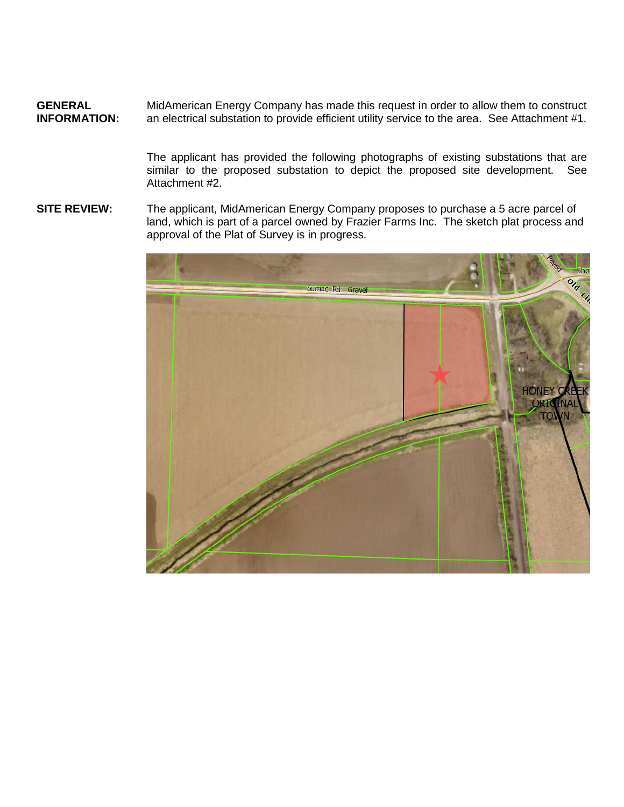**GENERAL** MidAmerican Energy Company has made this request in order to allow them to construct<br> **INFORMATION:** an electrical substation to provide efficient utility service to the area. See Attachment #1. an electrical substation to provide efficient utility service to the area. See Attachment #1.

> The applicant has provided the following photographs of existing substations that are similar to the proposed substation to depict the proposed site development. See Attachment #2.

**SITE REVIEW:** The applicant, MidAmerican Energy Company proposes to purchase a 5 acre parcel of land, which is part of a parcel owned by Frazier Farms Inc. The sketch plat process and approval of the Plat of Survey is in progress.

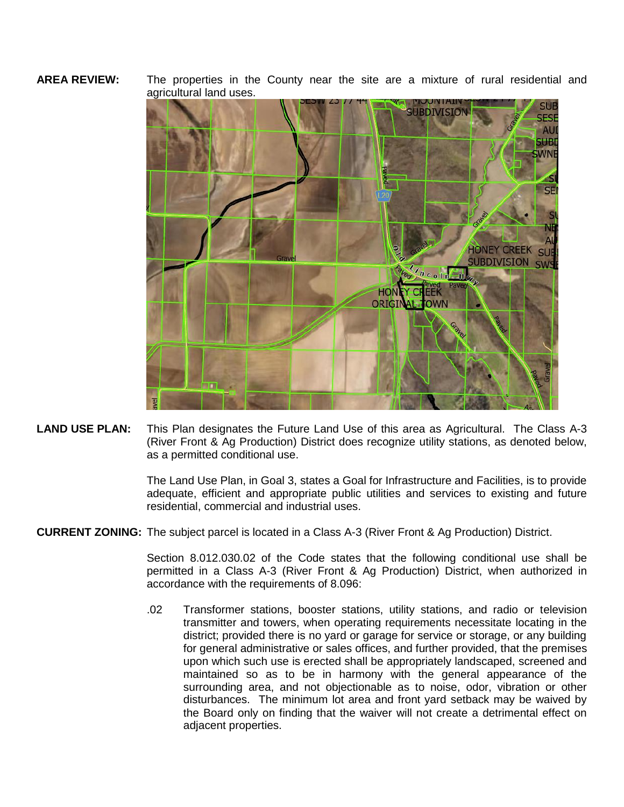## **AREA REVIEW:** The properties in the County near the site are a mixture of rural residential and agricultural land uses.



**LAND USE PLAN:** This Plan designates the Future Land Use of this area as Agricultural. The Class A-3 (River Front & Ag Production) District does recognize utility stations, as denoted below, as a permitted conditional use.

> The Land Use Plan, in Goal 3, states a Goal for Infrastructure and Facilities, is to provide adequate, efficient and appropriate public utilities and services to existing and future residential, commercial and industrial uses.

**CURRENT ZONING:** The subject parcel is located in a Class A-3 (River Front & Ag Production) District.

Section 8.012.030.02 of the Code states that the following conditional use shall be permitted in a Class A-3 (River Front & Ag Production) District, when authorized in accordance with the requirements of 8.096:

.02 Transformer stations, booster stations, utility stations, and radio or television transmitter and towers, when operating requirements necessitate locating in the district; provided there is no yard or garage for service or storage, or any building for general administrative or sales offices, and further provided, that the premises upon which such use is erected shall be appropriately landscaped, screened and maintained so as to be in harmony with the general appearance of the surrounding area, and not objectionable as to noise, odor, vibration or other disturbances. The minimum lot area and front yard setback may be waived by the Board only on finding that the waiver will not create a detrimental effect on adjacent properties.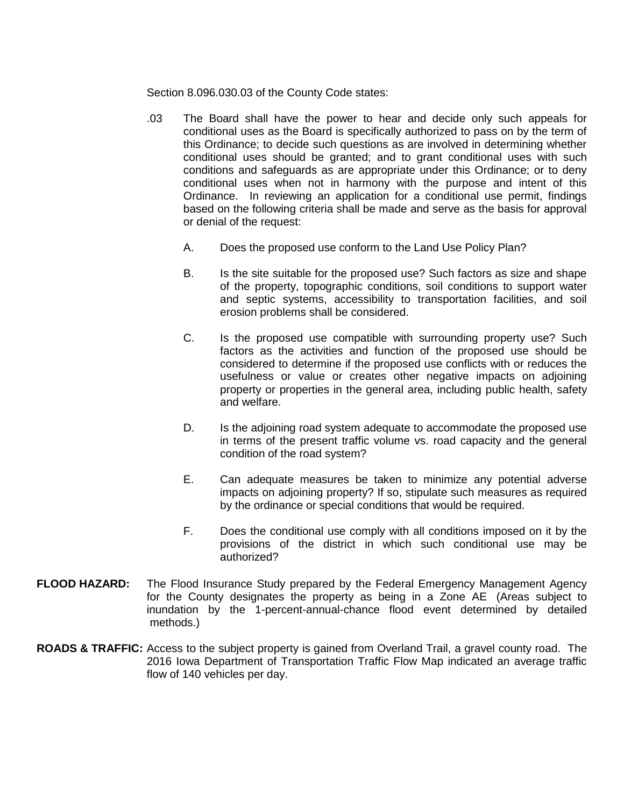Section 8.096.030.03 of the County Code states:

- .03 The Board shall have the power to hear and decide only such appeals for conditional uses as the Board is specifically authorized to pass on by the term of this Ordinance; to decide such questions as are involved in determining whether conditional uses should be granted; and to grant conditional uses with such conditions and safeguards as are appropriate under this Ordinance; or to deny conditional uses when not in harmony with the purpose and intent of this Ordinance. In reviewing an application for a conditional use permit, findings based on the following criteria shall be made and serve as the basis for approval or denial of the request:
	- A. Does the proposed use conform to the Land Use Policy Plan?
	- B. Is the site suitable for the proposed use? Such factors as size and shape of the property, topographic conditions, soil conditions to support water and septic systems, accessibility to transportation facilities, and soil erosion problems shall be considered.
	- C. Is the proposed use compatible with surrounding property use? Such factors as the activities and function of the proposed use should be considered to determine if the proposed use conflicts with or reduces the usefulness or value or creates other negative impacts on adjoining property or properties in the general area, including public health, safety and welfare.
	- D. Is the adjoining road system adequate to accommodate the proposed use in terms of the present traffic volume vs. road capacity and the general condition of the road system?
	- E. Can adequate measures be taken to minimize any potential adverse impacts on adjoining property? If so, stipulate such measures as required by the ordinance or special conditions that would be required.
	- F. Does the conditional use comply with all conditions imposed on it by the provisions of the district in which such conditional use may be authorized?
- **FLOOD HAZARD:** The Flood Insurance Study prepared by the Federal Emergency Management Agency for the County designates the property as being in a Zone AE (Areas subject to inundation by the 1-percent-annual-chance flood event determined by detailed methods.)
- **ROADS & TRAFFIC:** Access to the subject property is gained from Overland Trail, a gravel county road. The 2016 Iowa Department of Transportation Traffic Flow Map indicated an average traffic flow of 140 vehicles per day.